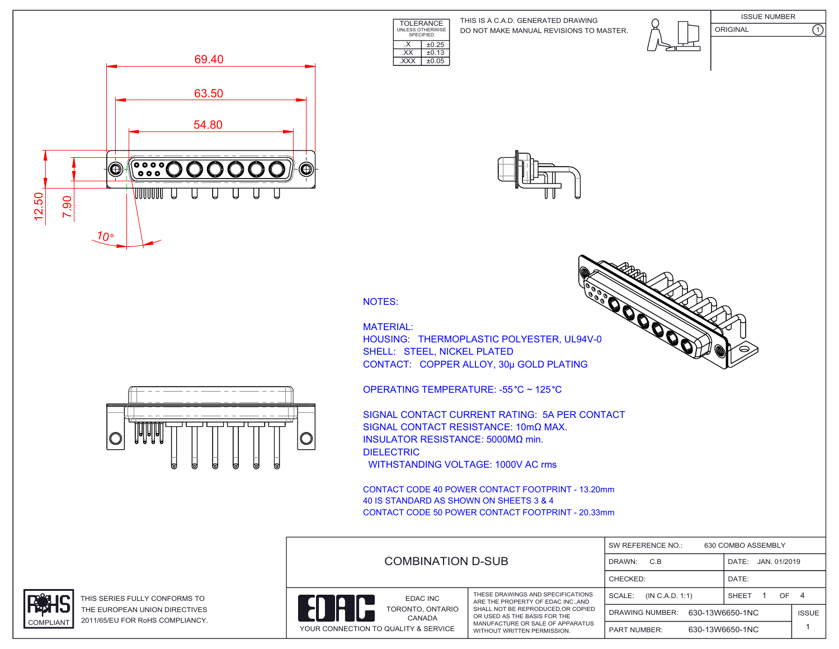**TOLERANCE** UNLESS OTHERWISE SPECIFIED DO NOT MAKE MANUAL REVISIONS TO MASTER. THIS IS A C.A.D. GENERATED DRAWING











 $\overline{XX}$   $\pm 0.13$ .XXX ±0.05

 $\overline{\text{X}}$   $\overline{\text{+0.25}}$ 

MATERIAL: HOUSING: THERMOPLASTIC POLYESTER, UL94V-0 SHELL: STEEL, NICKEL PLATED CONTACT: COPPER ALLOY, 30μ GOLD PLATING

OPERATING TEMPERATURE: -55 °C ~ 125 °C

SIGNAL CONTACT CURRENT RATING: 5A PER CONTACT SIGNAL CONTACT RESISTANCE: 10mΩ MAX. INSULATOR RESISTANCE: 5000MΩ min. DIELECTRIC WITHSTANDING VOLTAGE: 1000V AC rms

CONTACT CODE 40 POWER CONTACT FOOTPRINT - 13.20mm 40 IS STANDARD AS SHOWN ON SHEETS 3 & 4 CONTACT CODE 50 POWER CONTACT FOOTPRINT - 20.33mm

|                                  | <b>COMBINATION D-SUB</b>                                 |                                                                                                                                                                                                               | SW REFERENCE NO.:<br>630 COMBO ASSEMBLY |                       |              |  |
|----------------------------------|----------------------------------------------------------|---------------------------------------------------------------------------------------------------------------------------------------------------------------------------------------------------------------|-----------------------------------------|-----------------------|--------------|--|
|                                  |                                                          |                                                                                                                                                                                                               | C.B<br>DRAWN:                           | JAN. 01/2019<br>DATE: |              |  |
|                                  |                                                          |                                                                                                                                                                                                               | CHECKED:                                | DATE:                 |              |  |
| EDAC INC<br><b>a</b> n<br>CANADA |                                                          | THESE DRAWINGS AND SPECIFICATIONS<br>ARE THE PROPERTY OF EDAC INCAND<br>SHALL NOT BE REPRODUCED, OR COPIED<br>OR USED AS THE BASIS FOR THE<br>MANUFACTURE OR SALE OF APPARATUS<br>WITHOUT WRITTEN PERMISSION. | SCALE:<br>(IN C.A.D. 1:1)               | SHEET<br>OF.          | -4           |  |
|                                  | TORONTO, ONTARIO<br>YOUR CONNECTION TO QUALITY & SERVICE |                                                                                                                                                                                                               | 630-13W6650-1NC<br>DRAWING NUMBER:      |                       | <b>ISSUE</b> |  |
|                                  |                                                          |                                                                                                                                                                                                               | <b>PART NUMBER:</b>                     | 630-13W6650-1NC       |              |  |





THIS SERIES FULLY CONFORMS TO THE EUROPEAN UNION DIRECTIVES COMPLIANT 2011/65/EU FOR RoHS COMPLIANCY.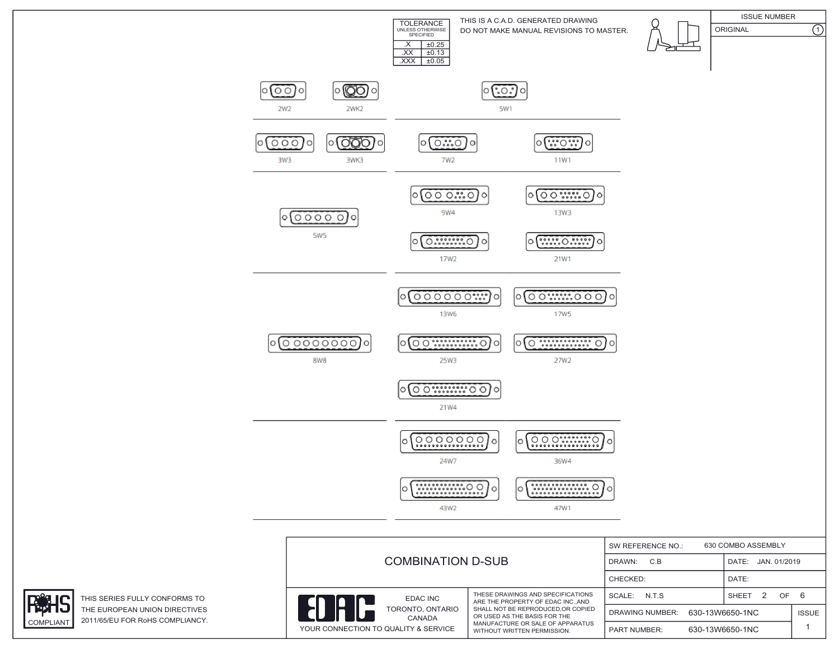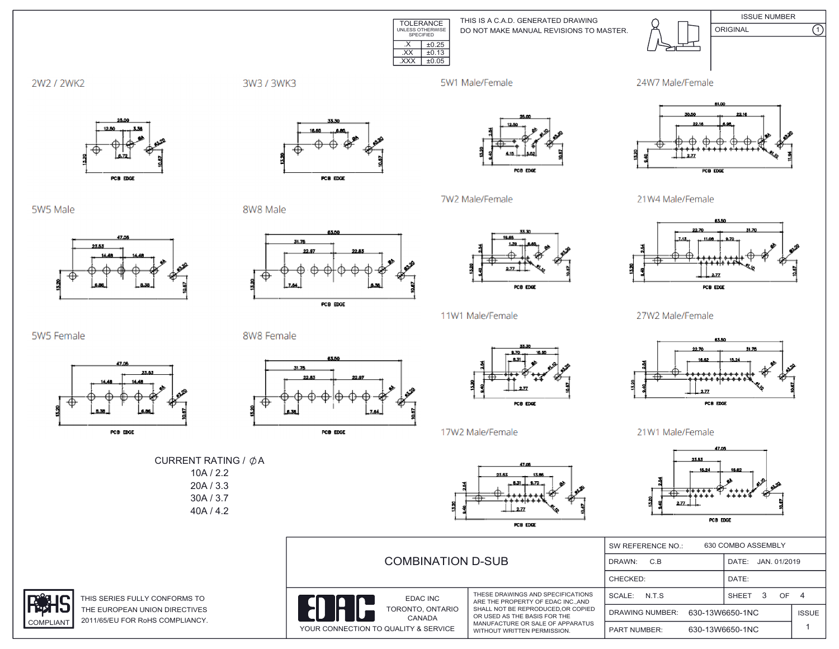

DO NOT MAKE MANUAL REVISIONS TO MASTER. THIS IS A C.A.D. GENERATED DRAWING



ISSUE NUMBER ORIGINAL (1)

2W2 / 2WK2



5W1 Male/Female

7W2 Male/Female



21W4 Male/Female

27W2 Male/Female



5W5 Male



PCB EDGE

8W8 Male



PCB EDGE



PCB EDGE



2.77 PCB EDGE

5W5 Female



8W8 Female

CURRENT RATING /  $\phi$ A 10A / 2.2 20A / 3.3





22.70  $2.77$ PCB EDGE

21W1 Male/Female



30A / 3.7 40A / 4.2



THIS SERIES FULLY CONFORMS TO THE EUROPEAN UNION DIRECTIVES COMPLIANT 2011/65/EU FOR RoHS COMPLIANCY.

|  | <b>COMBINATION D-SUB</b>             |                                                                                                                                      | 630 COMBO ASSEMBLY<br>SW REFERENCE NO.:   |  |                 |              |  |  |
|--|--------------------------------------|--------------------------------------------------------------------------------------------------------------------------------------|-------------------------------------------|--|-----------------|--------------|--|--|
|  |                                      |                                                                                                                                      | C.B<br>DRAWN:                             |  | DATE:           | JAN. 01/2019 |  |  |
|  |                                      |                                                                                                                                      | CHECKED:                                  |  | DATE:           |              |  |  |
|  | EDAC INC                             | THESE DRAWINGS AND SPECIFICATIONS<br>ARE THE PROPERTY OF EDAC INCAND                                                                 | SCALE:<br>N.T.S                           |  | <b>SHEET</b>    | OF           |  |  |
|  | TORONTO, ONTARIO<br>CANADA           | SHALL NOT BE REPRODUCED.OR COPIED<br>OR USED AS THE BASIS FOR THE<br>MANUFACTURE OR SALE OF APPARATUS<br>WITHOUT WRITTEN PERMISSION. | 630-13W6650-1NC<br><b>DRAWING NUMBER:</b> |  |                 | <b>ISSUE</b> |  |  |
|  | YOUR CONNECTION TO QUALITY & SERVICE |                                                                                                                                      | <b>PART NUMBER:</b>                       |  | 630-13W6650-1NC |              |  |  |

PCB EDGE



17W2 Male/Female